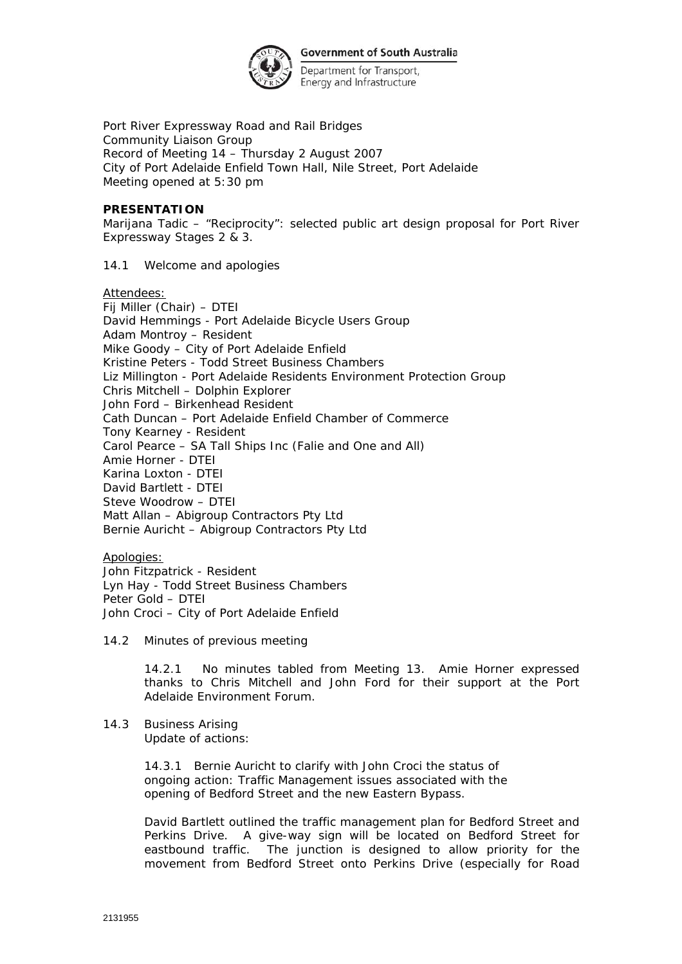

Department for Transport, Energy and Infrastructure

Port River Expressway Road and Rail Bridges Community Liaison Group Record of Meeting 14 – Thursday 2 August 2007 City of Port Adelaide Enfield Town Hall, Nile Street, Port Adelaide Meeting opened at 5:30 pm

## **PRESENTATION**

Marijana Tadic – "Reciprocity": selected public art design proposal for Port River Expressway Stages 2 & 3.

14.1 Welcome and apologies

Attendees:

Fij Miller (Chair) – DTEI David Hemmings - Port Adelaide Bicycle Users Group Adam Montroy – Resident Mike Goody – City of Port Adelaide Enfield Kristine Peters - Todd Street Business Chambers Liz Millington - Port Adelaide Residents Environment Protection Group Chris Mitchell – Dolphin Explorer John Ford – Birkenhead Resident Cath Duncan – Port Adelaide Enfield Chamber of Commerce Tony Kearney - Resident Carol Pearce – SA Tall Ships Inc (Falie and One and All) Amie Horner - DTEI Karina Loxton - DTEI David Bartlett - DTEI Steve Woodrow – DTEI Matt Allan – Abigroup Contractors Pty Ltd Bernie Auricht – Abigroup Contractors Pty Ltd

Apologies: John Fitzpatrick - Resident Lyn Hay - Todd Street Business Chambers Peter Gold – DTEI John Croci – City of Port Adelaide Enfield

14.2 Minutes of previous meeting

14.2.1 No minutes tabled from Meeting 13. Amie Horner expressed thanks to Chris Mitchell and John Ford for their support at the Port Adelaide Environment Forum.

14.3 Business Arising Update of actions:

> 14.3.1 Bernie Auricht to clarify with John Croci the status of ongoing action: Traffic Management issues associated with the opening of Bedford Street and the new Eastern Bypass.

David Bartlett outlined the traffic management plan for Bedford Street and Perkins Drive. A give-way sign will be located on Bedford Street for eastbound traffic. The junction is designed to allow priority for the movement from Bedford Street onto Perkins Drive (especially for Road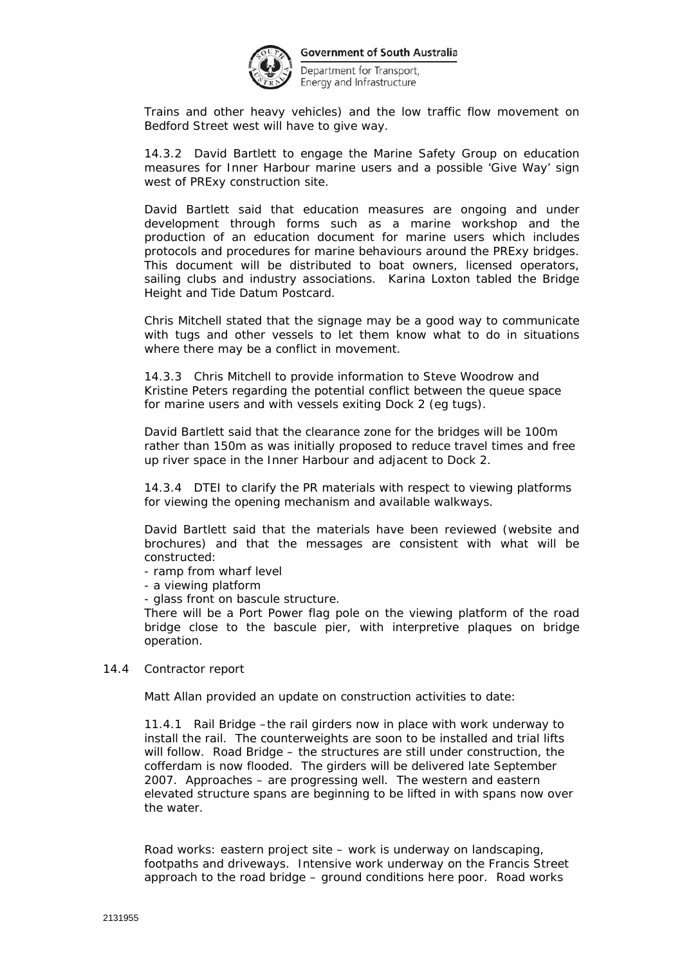

Department for Transport, Energy and Infrastructure

Trains and other heavy vehicles) and the low traffic flow movement on Bedford Street west will have to give way.

14.3.2 David Bartlett to engage the Marine Safety Group on education measures for Inner Harbour marine users and a possible 'Give Way' sign west of PRExy construction site.

David Bartlett said that education measures are ongoing and under development through forms such as a marine workshop and the production of an education document for marine users which includes protocols and procedures for marine behaviours around the PRExy bridges. This document will be distributed to boat owners, licensed operators, sailing clubs and industry associations. Karina Loxton tabled the *Bridge Height and Tide Datum Postcard*.

Chris Mitchell stated that the signage may be a good way to communicate with tugs and other vessels to let them know what to do in situations where there may be a conflict in movement.

14.3.3 Chris Mitchell to provide information to Steve Woodrow and Kristine Peters regarding the potential conflict between the queue space for marine users and with vessels exiting Dock 2 (eg tugs).

David Bartlett said that the clearance zone for the bridges will be 100m rather than 150m as was initially proposed to reduce travel times and free up river space in the Inner Harbour and adjacent to Dock 2.

14.3.4 DTEI to clarify the PR materials with respect to viewing platforms for viewing the opening mechanism and available walkways.

David Bartlett said that the materials have been reviewed (website and brochures) and that the messages are consistent with what will be constructed:

- ramp from wharf level

- a viewing platform

- glass front on bascule structure.

There will be a Port Power flag pole on the viewing platform of the road bridge close to the bascule pier, with interpretive plaques on bridge operation.

14.4 Contractor report

Matt Allan provided an update on construction activities to date:

11.4.1 Rail Bridge –the rail girders now in place with work underway to install the rail. The counterweights are soon to be installed and trial lifts will follow. Road Bridge – the structures are still under construction, the cofferdam is now flooded. The girders will be delivered late September 2007. Approaches – are progressing well. The western and eastern elevated structure spans are beginning to be lifted in with spans now over the water.

Road works: eastern project site – work is underway on landscaping, footpaths and driveways. Intensive work underway on the Francis Street approach to the road bridge – ground conditions here poor. Road works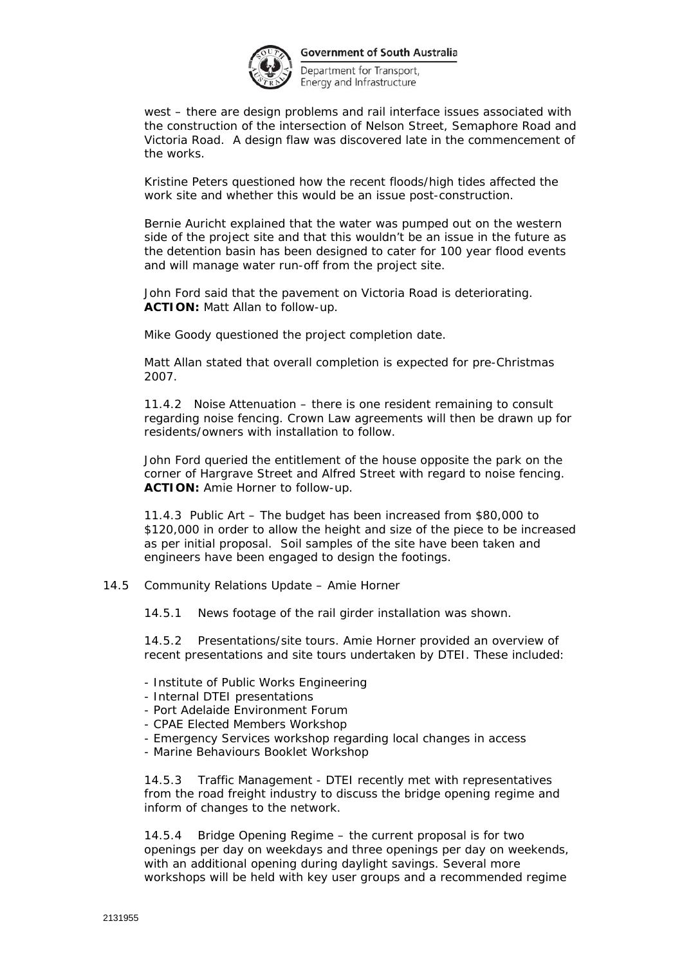

Department for Transport, Energy and Infrastructure

west – there are design problems and rail interface issues associated with the construction of the intersection of Nelson Street, Semaphore Road and Victoria Road. A design flaw was discovered late in the commencement of the works.

Kristine Peters questioned how the recent floods/high tides affected the work site and whether this would be an issue post-construction.

Bernie Auricht explained that the water was pumped out on the western side of the project site and that this wouldn't be an issue in the future as the detention basin has been designed to cater for 100 year flood events and will manage water run-off from the project site.

John Ford said that the pavement on Victoria Road is deteriorating. **ACTION:** Matt Allan to follow-up.

Mike Goody questioned the project completion date.

Matt Allan stated that overall completion is expected for pre-Christmas 2007.

11.4.2 Noise Attenuation – there is one resident remaining to consult regarding noise fencing. Crown Law agreements will then be drawn up for residents/owners with installation to follow.

John Ford queried the entitlement of the house opposite the park on the corner of Hargrave Street and Alfred Street with regard to noise fencing. **ACTION:** Amie Horner to follow-up.

11.4.3 Public Art – The budget has been increased from \$80,000 to \$120,000 in order to allow the height and size of the piece to be increased as per initial proposal. Soil samples of the site have been taken and engineers have been engaged to design the footings.

## 14.5 Community Relations Update – Amie Horner

14.5.1 News footage of the rail girder installation was shown.

14.5.2 Presentations/site tours. Amie Horner provided an overview of recent presentations and site tours undertaken by DTEI. These included:

- Institute of Public Works Engineering
- Internal DTEI presentations
- Port Adelaide Environment Forum
- CPAE Elected Members Workshop
- Emergency Services workshop regarding local changes in access
- Marine Behaviours Booklet Workshop

14.5.3 Traffic Management - DTEI recently met with representatives from the road freight industry to discuss the bridge opening regime and inform of changes to the network.

14.5.4 Bridge Opening Regime – the current proposal is for two openings per day on weekdays and three openings per day on weekends, with an additional opening during daylight savings. Several more workshops will be held with key user groups and a recommended regime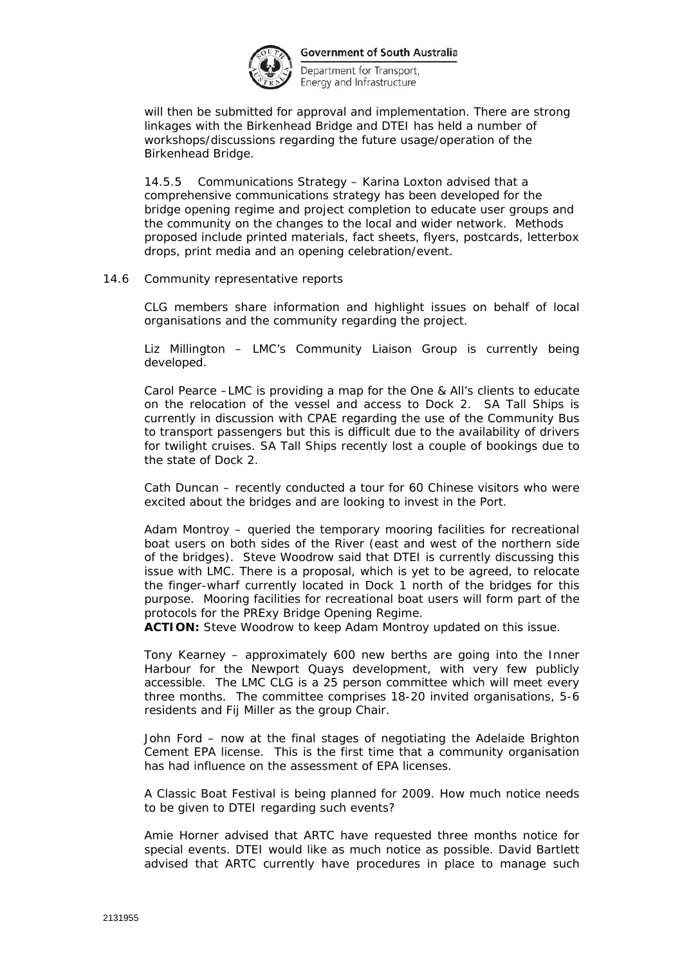

Department for Transport, Energy and Infrastructure

will then be submitted for approval and implementation. There are strong linkages with the Birkenhead Bridge and DTEI has held a number of workshops/discussions regarding the future usage/operation of the Birkenhead Bridge.

14.5.5 Communications Strategy – Karina Loxton advised that a comprehensive communications strategy has been developed for the bridge opening regime and project completion to educate user groups and the community on the changes to the local and wider network. Methods proposed include printed materials, fact sheets, flyers, postcards, letterbox drops, print media and an opening celebration/event.

## 14.6 Community representative reports

CLG members share information and highlight issues on behalf of local organisations and the community regarding the project.

Liz Millington – LMC's Community Liaison Group is currently being developed.

Carol Pearce –LMC is providing a map for the One & All's clients to educate on the relocation of the vessel and access to Dock 2. SA Tall Ships is currently in discussion with CPAE regarding the use of the Community Bus to transport passengers but this is difficult due to the availability of drivers for twilight cruises. SA Tall Ships recently lost a couple of bookings due to the state of Dock 2.

Cath Duncan – recently conducted a tour for 60 Chinese visitors who were excited about the bridges and are looking to invest in the Port.

Adam Montroy – queried the temporary mooring facilities for recreational boat users on both sides of the River (east and west of the northern side of the bridges). Steve Woodrow said that DTEI is currently discussing this issue with LMC. There is a proposal, which is yet to be agreed, to relocate the finger-wharf currently located in Dock 1 north of the bridges for this purpose. Mooring facilities for recreational boat users will form part of the protocols for the PRExy Bridge Opening Regime.

**ACTION:** Steve Woodrow to keep Adam Montroy updated on this issue.

Tony Kearney – approximately 600 new berths are going into the Inner Harbour for the Newport Quays development, with very few publicly accessible. The LMC CLG is a 25 person committee which will meet every three months. The committee comprises 18-20 invited organisations, 5-6 residents and Fij Miller as the group Chair.

John Ford – now at the final stages of negotiating the Adelaide Brighton Cement EPA license. This is the first time that a community organisation has had influence on the assessment of EPA licenses.

A Classic Boat Festival is being planned for 2009. How much notice needs to be given to DTEI regarding such events?

Amie Horner advised that ARTC have requested three months notice for special events. DTEI would like as much notice as possible. David Bartlett advised that ARTC currently have procedures in place to manage such